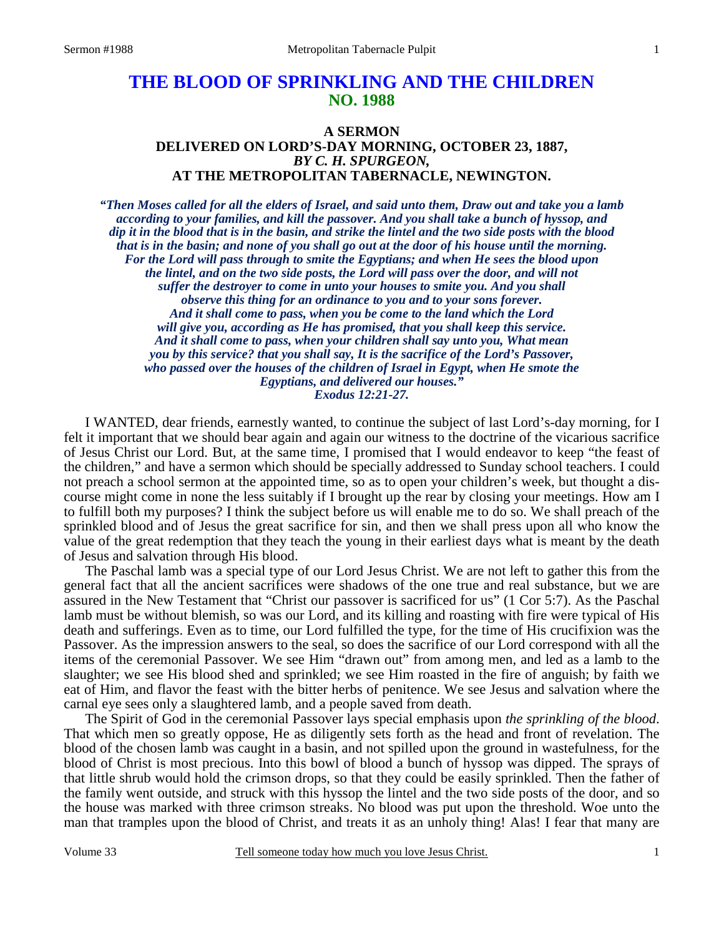# **THE BLOOD OF SPRINKLING AND THE CHILDREN NO. 1988**

## **A SERMON DELIVERED ON LORD'S-DAY MORNING, OCTOBER 23, 1887,**  *BY C. H. SPURGEON,*  **AT THE METROPOLITAN TABERNACLE, NEWINGTON.**

*"Then Moses called for all the elders of Israel, and said unto them, Draw out and take you a lamb according to your families, and kill the passover. And you shall take a bunch of hyssop, and dip it in the blood that is in the basin, and strike the lintel and the two side posts with the blood that is in the basin; and none of you shall go out at the door of his house until the morning. For the Lord will pass through to smite the Egyptians; and when He sees the blood upon the lintel, and on the two side posts, the Lord will pass over the door, and will not suffer the destroyer to come in unto your houses to smite you. And you shall observe this thing for an ordinance to you and to your sons forever. And it shall come to pass, when you be come to the land which the Lord will give you, according as He has promised, that you shall keep this service. And it shall come to pass, when your children shall say unto you, What mean you by this service? that you shall say, It is the sacrifice of the Lord's Passover, who passed over the houses of the children of Israel in Egypt, when He smote the Egyptians, and delivered our houses." Exodus 12:21-27.* 

I WANTED, dear friends, earnestly wanted, to continue the subject of last Lord's-day morning, for I felt it important that we should bear again and again our witness to the doctrine of the vicarious sacrifice of Jesus Christ our Lord. But, at the same time, I promised that I would endeavor to keep "the feast of the children," and have a sermon which should be specially addressed to Sunday school teachers. I could not preach a school sermon at the appointed time, so as to open your children's week, but thought a discourse might come in none the less suitably if I brought up the rear by closing your meetings. How am I to fulfill both my purposes? I think the subject before us will enable me to do so. We shall preach of the sprinkled blood and of Jesus the great sacrifice for sin, and then we shall press upon all who know the value of the great redemption that they teach the young in their earliest days what is meant by the death of Jesus and salvation through His blood.

The Paschal lamb was a special type of our Lord Jesus Christ. We are not left to gather this from the general fact that all the ancient sacrifices were shadows of the one true and real substance, but we are assured in the New Testament that "Christ our passover is sacrificed for us" (1 Cor 5:7). As the Paschal lamb must be without blemish, so was our Lord, and its killing and roasting with fire were typical of His death and sufferings. Even as to time, our Lord fulfilled the type, for the time of His crucifixion was the Passover. As the impression answers to the seal, so does the sacrifice of our Lord correspond with all the items of the ceremonial Passover. We see Him "drawn out" from among men, and led as a lamb to the slaughter; we see His blood shed and sprinkled; we see Him roasted in the fire of anguish; by faith we eat of Him, and flavor the feast with the bitter herbs of penitence. We see Jesus and salvation where the carnal eye sees only a slaughtered lamb, and a people saved from death.

The Spirit of God in the ceremonial Passover lays special emphasis upon *the sprinkling of the blood*. That which men so greatly oppose, He as diligently sets forth as the head and front of revelation. The blood of the chosen lamb was caught in a basin, and not spilled upon the ground in wastefulness, for the blood of Christ is most precious. Into this bowl of blood a bunch of hyssop was dipped. The sprays of that little shrub would hold the crimson drops, so that they could be easily sprinkled. Then the father of the family went outside, and struck with this hyssop the lintel and the two side posts of the door, and so the house was marked with three crimson streaks. No blood was put upon the threshold. Woe unto the man that tramples upon the blood of Christ, and treats it as an unholy thing! Alas! I fear that many are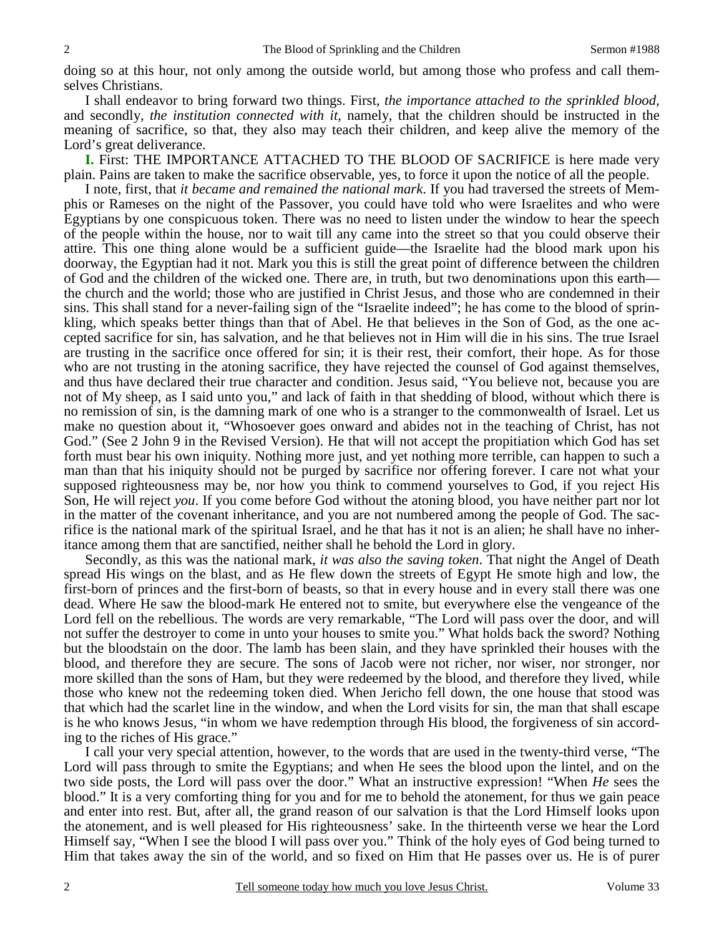doing so at this hour, not only among the outside world, but among those who profess and call themselves Christians.

I shall endeavor to bring forward two things. First, *the importance attached to the sprinkled blood,*  and secondly, *the institution connected with it,* namely, that the children should be instructed in the meaning of sacrifice, so that, they also may teach their children, and keep alive the memory of the Lord's great deliverance.

**I.** First: THE IMPORTANCE ATTACHED TO THE BLOOD OF SACRIFICE is here made very plain. Pains are taken to make the sacrifice observable, yes, to force it upon the notice of all the people.

I note, first, that *it became and remained the national mark*. If you had traversed the streets of Memphis or Rameses on the night of the Passover, you could have told who were Israelites and who were Egyptians by one conspicuous token. There was no need to listen under the window to hear the speech of the people within the house, nor to wait till any came into the street so that you could observe their attire. This one thing alone would be a sufficient guide—the Israelite had the blood mark upon his doorway, the Egyptian had it not. Mark you this is still the great point of difference between the children of God and the children of the wicked one. There are, in truth, but two denominations upon this earth the church and the world; those who are justified in Christ Jesus, and those who are condemned in their sins. This shall stand for a never-failing sign of the "Israelite indeed"; he has come to the blood of sprinkling, which speaks better things than that of Abel. He that believes in the Son of God, as the one accepted sacrifice for sin, has salvation, and he that believes not in Him will die in his sins. The true Israel are trusting in the sacrifice once offered for sin; it is their rest, their comfort, their hope. As for those who are not trusting in the atoning sacrifice, they have rejected the counsel of God against themselves, and thus have declared their true character and condition. Jesus said, "You believe not, because you are not of My sheep, as I said unto you," and lack of faith in that shedding of blood, without which there is no remission of sin, is the damning mark of one who is a stranger to the commonwealth of Israel. Let us make no question about it, "Whosoever goes onward and abides not in the teaching of Christ, has not God." (See 2 John 9 in the Revised Version). He that will not accept the propitiation which God has set forth must bear his own iniquity. Nothing more just, and yet nothing more terrible, can happen to such a man than that his iniquity should not be purged by sacrifice nor offering forever. I care not what your supposed righteousness may be, nor how you think to commend yourselves to God, if you reject His Son, He will reject *you*. If you come before God without the atoning blood, you have neither part nor lot in the matter of the covenant inheritance, and you are not numbered among the people of God. The sacrifice is the national mark of the spiritual Israel, and he that has it not is an alien; he shall have no inheritance among them that are sanctified, neither shall he behold the Lord in glory.

Secondly, as this was the national mark, *it was also the saving token*. That night the Angel of Death spread His wings on the blast, and as He flew down the streets of Egypt He smote high and low, the first-born of princes and the first-born of beasts, so that in every house and in every stall there was one dead. Where He saw the blood-mark He entered not to smite, but everywhere else the vengeance of the Lord fell on the rebellious. The words are very remarkable, "The Lord will pass over the door, and will not suffer the destroyer to come in unto your houses to smite you." What holds back the sword? Nothing but the bloodstain on the door. The lamb has been slain, and they have sprinkled their houses with the blood, and therefore they are secure. The sons of Jacob were not richer, nor wiser, nor stronger, nor more skilled than the sons of Ham, but they were redeemed by the blood, and therefore they lived, while those who knew not the redeeming token died. When Jericho fell down, the one house that stood was that which had the scarlet line in the window, and when the Lord visits for sin, the man that shall escape is he who knows Jesus, "in whom we have redemption through His blood, the forgiveness of sin according to the riches of His grace."

I call your very special attention, however, to the words that are used in the twenty-third verse, "The Lord will pass through to smite the Egyptians; and when He sees the blood upon the lintel, and on the two side posts, the Lord will pass over the door." What an instructive expression! "When *He* sees the blood." It is a very comforting thing for you and for me to behold the atonement, for thus we gain peace and enter into rest. But, after all, the grand reason of our salvation is that the Lord Himself looks upon the atonement, and is well pleased for His righteousness' sake. In the thirteenth verse we hear the Lord Himself say, "When I see the blood I will pass over you." Think of the holy eyes of God being turned to Him that takes away the sin of the world, and so fixed on Him that He passes over us. He is of purer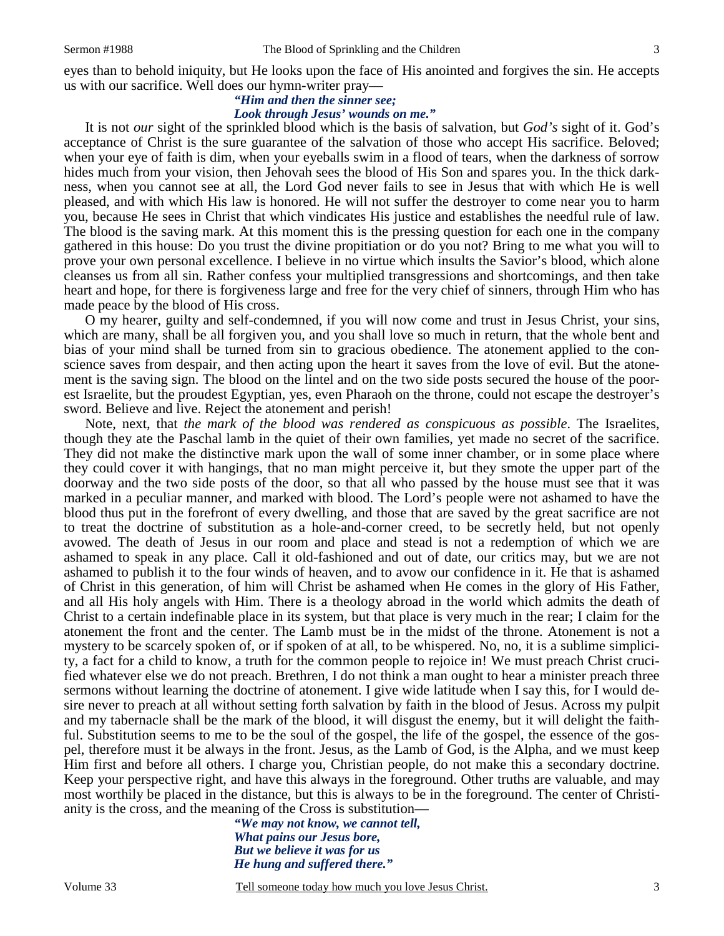eyes than to behold iniquity, but He looks upon the face of His anointed and forgives the sin. He accepts us with our sacrifice. Well does our hymn-writer pray—

# *"Him and then the sinner see;*

## *Look through Jesus' wounds on me."*

It is not *our* sight of the sprinkled blood which is the basis of salvation, but *God's* sight of it. God's acceptance of Christ is the sure guarantee of the salvation of those who accept His sacrifice. Beloved; when your eye of faith is dim, when your eyeballs swim in a flood of tears, when the darkness of sorrow hides much from your vision, then Jehovah sees the blood of His Son and spares you. In the thick darkness, when you cannot see at all, the Lord God never fails to see in Jesus that with which He is well pleased, and with which His law is honored. He will not suffer the destroyer to come near you to harm you, because He sees in Christ that which vindicates His justice and establishes the needful rule of law. The blood is the saving mark. At this moment this is the pressing question for each one in the company gathered in this house: Do you trust the divine propitiation or do you not? Bring to me what you will to prove your own personal excellence. I believe in no virtue which insults the Savior's blood, which alone cleanses us from all sin. Rather confess your multiplied transgressions and shortcomings, and then take heart and hope, for there is forgiveness large and free for the very chief of sinners, through Him who has made peace by the blood of His cross.

O my hearer, guilty and self-condemned, if you will now come and trust in Jesus Christ, your sins, which are many, shall be all forgiven you, and you shall love so much in return, that the whole bent and bias of your mind shall be turned from sin to gracious obedience. The atonement applied to the conscience saves from despair, and then acting upon the heart it saves from the love of evil. But the atonement is the saving sign. The blood on the lintel and on the two side posts secured the house of the poorest Israelite, but the proudest Egyptian, yes, even Pharaoh on the throne, could not escape the destroyer's sword. Believe and live. Reject the atonement and perish!

Note, next, that *the mark of the blood was rendered as conspicuous as possible*. The Israelites, though they ate the Paschal lamb in the quiet of their own families, yet made no secret of the sacrifice. They did not make the distinctive mark upon the wall of some inner chamber, or in some place where they could cover it with hangings, that no man might perceive it, but they smote the upper part of the doorway and the two side posts of the door, so that all who passed by the house must see that it was marked in a peculiar manner, and marked with blood. The Lord's people were not ashamed to have the blood thus put in the forefront of every dwelling, and those that are saved by the great sacrifice are not to treat the doctrine of substitution as a hole-and-corner creed, to be secretly held, but not openly avowed. The death of Jesus in our room and place and stead is not a redemption of which we are ashamed to speak in any place. Call it old-fashioned and out of date, our critics may, but we are not ashamed to publish it to the four winds of heaven, and to avow our confidence in it. He that is ashamed of Christ in this generation, of him will Christ be ashamed when He comes in the glory of His Father, and all His holy angels with Him. There is a theology abroad in the world which admits the death of Christ to a certain indefinable place in its system, but that place is very much in the rear; I claim for the atonement the front and the center. The Lamb must be in the midst of the throne. Atonement is not a mystery to be scarcely spoken of, or if spoken of at all, to be whispered. No, no, it is a sublime simplicity, a fact for a child to know, a truth for the common people to rejoice in! We must preach Christ crucified whatever else we do not preach. Brethren, I do not think a man ought to hear a minister preach three sermons without learning the doctrine of atonement. I give wide latitude when I say this, for I would desire never to preach at all without setting forth salvation by faith in the blood of Jesus. Across my pulpit and my tabernacle shall be the mark of the blood, it will disgust the enemy, but it will delight the faithful. Substitution seems to me to be the soul of the gospel, the life of the gospel, the essence of the gospel, therefore must it be always in the front. Jesus, as the Lamb of God, is the Alpha, and we must keep Him first and before all others. I charge you, Christian people, do not make this a secondary doctrine. Keep your perspective right, and have this always in the foreground. Other truths are valuable, and may most worthily be placed in the distance, but this is always to be in the foreground. The center of Christianity is the cross, and the meaning of the Cross is substitution—

*"We may not know, we cannot tell, What pains our Jesus bore, But we believe it was for us He hung and suffered there."*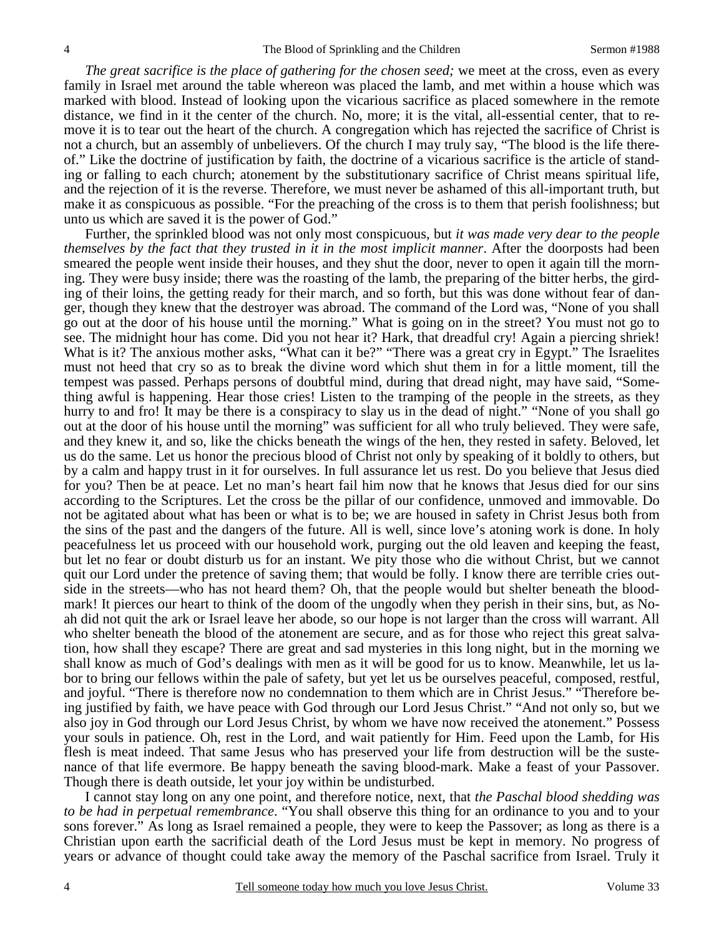*The great sacrifice is the place of gathering for the chosen seed;* we meet at the cross, even as every family in Israel met around the table whereon was placed the lamb, and met within a house which was marked with blood. Instead of looking upon the vicarious sacrifice as placed somewhere in the remote distance, we find in it the center of the church. No, more; it is the vital, all-essential center, that to remove it is to tear out the heart of the church. A congregation which has rejected the sacrifice of Christ is not a church, but an assembly of unbelievers. Of the church I may truly say, "The blood is the life thereof." Like the doctrine of justification by faith, the doctrine of a vicarious sacrifice is the article of standing or falling to each church; atonement by the substitutionary sacrifice of Christ means spiritual life, and the rejection of it is the reverse. Therefore, we must never be ashamed of this all-important truth, but make it as conspicuous as possible. "For the preaching of the cross is to them that perish foolishness; but unto us which are saved it is the power of God."

Further, the sprinkled blood was not only most conspicuous, but *it was made very dear to the people themselves by the fact that they trusted in it in the most implicit manner*. After the doorposts had been smeared the people went inside their houses, and they shut the door, never to open it again till the morning. They were busy inside; there was the roasting of the lamb, the preparing of the bitter herbs, the girding of their loins, the getting ready for their march, and so forth, but this was done without fear of danger, though they knew that the destroyer was abroad. The command of the Lord was, "None of you shall go out at the door of his house until the morning." What is going on in the street? You must not go to see. The midnight hour has come. Did you not hear it? Hark, that dreadful cry! Again a piercing shriek! What is it? The anxious mother asks, "What can it be?" "There was a great cry in Egypt." The Israelites must not heed that cry so as to break the divine word which shut them in for a little moment, till the tempest was passed. Perhaps persons of doubtful mind, during that dread night, may have said, "Something awful is happening. Hear those cries! Listen to the tramping of the people in the streets, as they hurry to and fro! It may be there is a conspiracy to slay us in the dead of night." "None of you shall go out at the door of his house until the morning" was sufficient for all who truly believed. They were safe, and they knew it, and so, like the chicks beneath the wings of the hen, they rested in safety. Beloved, let us do the same. Let us honor the precious blood of Christ not only by speaking of it boldly to others, but by a calm and happy trust in it for ourselves. In full assurance let us rest. Do you believe that Jesus died for you? Then be at peace. Let no man's heart fail him now that he knows that Jesus died for our sins according to the Scriptures. Let the cross be the pillar of our confidence, unmoved and immovable. Do not be agitated about what has been or what is to be; we are housed in safety in Christ Jesus both from the sins of the past and the dangers of the future. All is well, since love's atoning work is done. In holy peacefulness let us proceed with our household work, purging out the old leaven and keeping the feast, but let no fear or doubt disturb us for an instant. We pity those who die without Christ, but we cannot quit our Lord under the pretence of saving them; that would be folly. I know there are terrible cries outside in the streets—who has not heard them? Oh, that the people would but shelter beneath the bloodmark! It pierces our heart to think of the doom of the ungodly when they perish in their sins, but, as Noah did not quit the ark or Israel leave her abode, so our hope is not larger than the cross will warrant. All who shelter beneath the blood of the atonement are secure, and as for those who reject this great salvation, how shall they escape? There are great and sad mysteries in this long night, but in the morning we shall know as much of God's dealings with men as it will be good for us to know. Meanwhile, let us labor to bring our fellows within the pale of safety, but yet let us be ourselves peaceful, composed, restful, and joyful. "There is therefore now no condemnation to them which are in Christ Jesus." "Therefore being justified by faith, we have peace with God through our Lord Jesus Christ." "And not only so, but we also joy in God through our Lord Jesus Christ, by whom we have now received the atonement." Possess your souls in patience. Oh, rest in the Lord, and wait patiently for Him. Feed upon the Lamb, for His flesh is meat indeed. That same Jesus who has preserved your life from destruction will be the sustenance of that life evermore. Be happy beneath the saving blood-mark. Make a feast of your Passover. Though there is death outside, let your joy within be undisturbed.

I cannot stay long on any one point, and therefore notice, next, that *the Paschal blood shedding was to be had in perpetual remembrance*. "You shall observe this thing for an ordinance to you and to your sons forever." As long as Israel remained a people, they were to keep the Passover; as long as there is a Christian upon earth the sacrificial death of the Lord Jesus must be kept in memory. No progress of years or advance of thought could take away the memory of the Paschal sacrifice from Israel. Truly it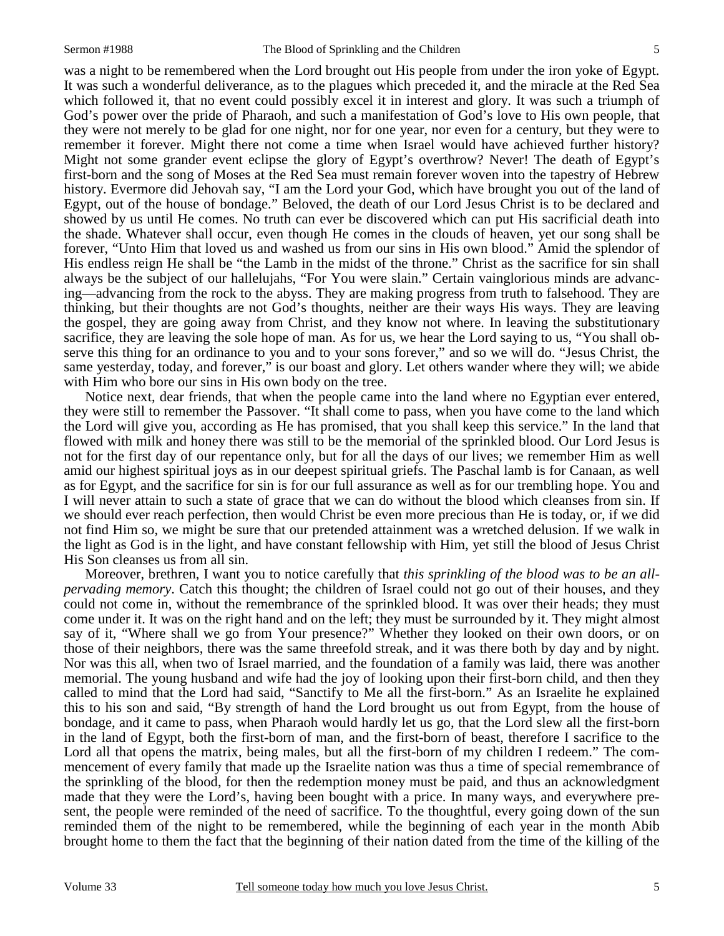was a night to be remembered when the Lord brought out His people from under the iron yoke of Egypt. It was such a wonderful deliverance, as to the plagues which preceded it, and the miracle at the Red Sea which followed it, that no event could possibly excel it in interest and glory. It was such a triumph of God's power over the pride of Pharaoh, and such a manifestation of God's love to His own people, that they were not merely to be glad for one night, nor for one year, nor even for a century, but they were to remember it forever. Might there not come a time when Israel would have achieved further history? Might not some grander event eclipse the glory of Egypt's overthrow? Never! The death of Egypt's first-born and the song of Moses at the Red Sea must remain forever woven into the tapestry of Hebrew history. Evermore did Jehovah say, "I am the Lord your God, which have brought you out of the land of Egypt, out of the house of bondage." Beloved, the death of our Lord Jesus Christ is to be declared and showed by us until He comes. No truth can ever be discovered which can put His sacrificial death into the shade. Whatever shall occur, even though He comes in the clouds of heaven, yet our song shall be forever, "Unto Him that loved us and washed us from our sins in His own blood." Amid the splendor of His endless reign He shall be "the Lamb in the midst of the throne." Christ as the sacrifice for sin shall always be the subject of our hallelujahs, "For You were slain." Certain vainglorious minds are advancing—advancing from the rock to the abyss. They are making progress from truth to falsehood. They are thinking, but their thoughts are not God's thoughts, neither are their ways His ways. They are leaving the gospel, they are going away from Christ, and they know not where. In leaving the substitutionary sacrifice, they are leaving the sole hope of man. As for us, we hear the Lord saying to us, "You shall observe this thing for an ordinance to you and to your sons forever," and so we will do. "Jesus Christ, the same yesterday, today, and forever," is our boast and glory. Let others wander where they will; we abide with Him who bore our sins in His own body on the tree.

Notice next, dear friends, that when the people came into the land where no Egyptian ever entered, they were still to remember the Passover. "It shall come to pass, when you have come to the land which the Lord will give you, according as He has promised, that you shall keep this service." In the land that flowed with milk and honey there was still to be the memorial of the sprinkled blood. Our Lord Jesus is not for the first day of our repentance only, but for all the days of our lives; we remember Him as well amid our highest spiritual joys as in our deepest spiritual griefs. The Paschal lamb is for Canaan, as well as for Egypt, and the sacrifice for sin is for our full assurance as well as for our trembling hope. You and I will never attain to such a state of grace that we can do without the blood which cleanses from sin. If we should ever reach perfection, then would Christ be even more precious than He is today, or, if we did not find Him so, we might be sure that our pretended attainment was a wretched delusion. If we walk in the light as God is in the light, and have constant fellowship with Him, yet still the blood of Jesus Christ His Son cleanses us from all sin.

Moreover, brethren, I want you to notice carefully that *this sprinkling of the blood was to be an allpervading memory*. Catch this thought; the children of Israel could not go out of their houses, and they could not come in, without the remembrance of the sprinkled blood. It was over their heads; they must come under it. It was on the right hand and on the left; they must be surrounded by it. They might almost say of it, "Where shall we go from Your presence?" Whether they looked on their own doors, or on those of their neighbors, there was the same threefold streak, and it was there both by day and by night. Nor was this all, when two of Israel married, and the foundation of a family was laid, there was another memorial. The young husband and wife had the joy of looking upon their first-born child, and then they called to mind that the Lord had said, "Sanctify to Me all the first-born." As an Israelite he explained this to his son and said, "By strength of hand the Lord brought us out from Egypt, from the house of bondage, and it came to pass, when Pharaoh would hardly let us go, that the Lord slew all the first-born in the land of Egypt, both the first-born of man, and the first-born of beast, therefore I sacrifice to the Lord all that opens the matrix, being males, but all the first-born of my children I redeem." The commencement of every family that made up the Israelite nation was thus a time of special remembrance of the sprinkling of the blood, for then the redemption money must be paid, and thus an acknowledgment made that they were the Lord's, having been bought with a price. In many ways, and everywhere present, the people were reminded of the need of sacrifice. To the thoughtful, every going down of the sun reminded them of the night to be remembered, while the beginning of each year in the month Abib brought home to them the fact that the beginning of their nation dated from the time of the killing of the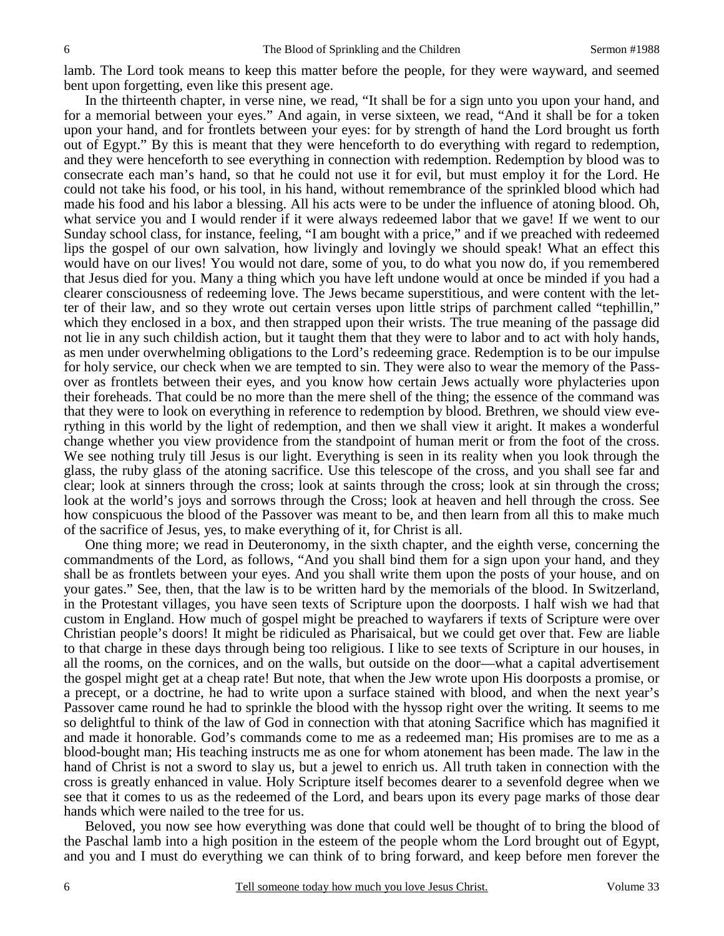lamb. The Lord took means to keep this matter before the people, for they were wayward, and seemed bent upon forgetting, even like this present age.

In the thirteenth chapter, in verse nine, we read, "It shall be for a sign unto you upon your hand, and for a memorial between your eyes." And again, in verse sixteen, we read, "And it shall be for a token upon your hand, and for frontlets between your eyes: for by strength of hand the Lord brought us forth out of Egypt." By this is meant that they were henceforth to do everything with regard to redemption, and they were henceforth to see everything in connection with redemption. Redemption by blood was to consecrate each man's hand, so that he could not use it for evil, but must employ it for the Lord. He could not take his food, or his tool, in his hand, without remembrance of the sprinkled blood which had made his food and his labor a blessing. All his acts were to be under the influence of atoning blood. Oh, what service you and I would render if it were always redeemed labor that we gave! If we went to our Sunday school class, for instance, feeling, "I am bought with a price," and if we preached with redeemed lips the gospel of our own salvation, how livingly and lovingly we should speak! What an effect this would have on our lives! You would not dare, some of you, to do what you now do, if you remembered that Jesus died for you. Many a thing which you have left undone would at once be minded if you had a clearer consciousness of redeeming love. The Jews became superstitious, and were content with the letter of their law, and so they wrote out certain verses upon little strips of parchment called "tephillin," which they enclosed in a box, and then strapped upon their wrists. The true meaning of the passage did not lie in any such childish action, but it taught them that they were to labor and to act with holy hands, as men under overwhelming obligations to the Lord's redeeming grace. Redemption is to be our impulse for holy service, our check when we are tempted to sin. They were also to wear the memory of the Passover as frontlets between their eyes, and you know how certain Jews actually wore phylacteries upon their foreheads. That could be no more than the mere shell of the thing; the essence of the command was that they were to look on everything in reference to redemption by blood. Brethren, we should view everything in this world by the light of redemption, and then we shall view it aright. It makes a wonderful change whether you view providence from the standpoint of human merit or from the foot of the cross. We see nothing truly till Jesus is our light. Everything is seen in its reality when you look through the glass, the ruby glass of the atoning sacrifice. Use this telescope of the cross, and you shall see far and clear; look at sinners through the cross; look at saints through the cross; look at sin through the cross; look at the world's joys and sorrows through the Cross; look at heaven and hell through the cross. See how conspicuous the blood of the Passover was meant to be, and then learn from all this to make much of the sacrifice of Jesus, yes, to make everything of it, for Christ is all.

One thing more; we read in Deuteronomy, in the sixth chapter, and the eighth verse, concerning the commandments of the Lord, as follows, "And you shall bind them for a sign upon your hand, and they shall be as frontlets between your eyes. And you shall write them upon the posts of your house, and on your gates." See, then, that the law is to be written hard by the memorials of the blood. In Switzerland, in the Protestant villages, you have seen texts of Scripture upon the doorposts. I half wish we had that custom in England. How much of gospel might be preached to wayfarers if texts of Scripture were over Christian people's doors! It might be ridiculed as Pharisaical, but we could get over that. Few are liable to that charge in these days through being too religious. I like to see texts of Scripture in our houses, in all the rooms, on the cornices, and on the walls, but outside on the door—what a capital advertisement the gospel might get at a cheap rate! But note, that when the Jew wrote upon His doorposts a promise, or a precept, or a doctrine, he had to write upon a surface stained with blood, and when the next year's Passover came round he had to sprinkle the blood with the hyssop right over the writing. It seems to me so delightful to think of the law of God in connection with that atoning Sacrifice which has magnified it and made it honorable. God's commands come to me as a redeemed man; His promises are to me as a blood-bought man; His teaching instructs me as one for whom atonement has been made. The law in the hand of Christ is not a sword to slay us, but a jewel to enrich us. All truth taken in connection with the cross is greatly enhanced in value. Holy Scripture itself becomes dearer to a sevenfold degree when we see that it comes to us as the redeemed of the Lord, and bears upon its every page marks of those dear hands which were nailed to the tree for us.

Beloved, you now see how everything was done that could well be thought of to bring the blood of the Paschal lamb into a high position in the esteem of the people whom the Lord brought out of Egypt, and you and I must do everything we can think of to bring forward, and keep before men forever the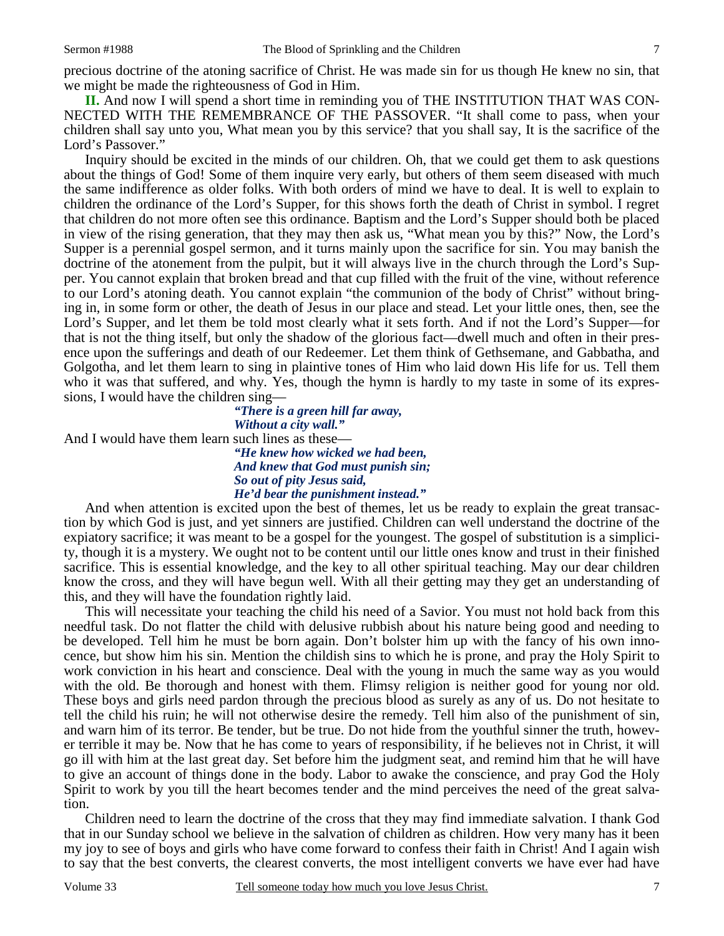precious doctrine of the atoning sacrifice of Christ. He was made sin for us though He knew no sin, that we might be made the righteousness of God in Him.

**II.** And now I will spend a short time in reminding you of THE INSTITUTION THAT WAS CON-NECTED WITH THE REMEMBRANCE OF THE PASSOVER. "It shall come to pass, when your children shall say unto you, What mean you by this service? that you shall say, It is the sacrifice of the Lord's Passover."

Inquiry should be excited in the minds of our children. Oh, that we could get them to ask questions about the things of God! Some of them inquire very early, but others of them seem diseased with much the same indifference as older folks. With both orders of mind we have to deal. It is well to explain to children the ordinance of the Lord's Supper, for this shows forth the death of Christ in symbol. I regret that children do not more often see this ordinance. Baptism and the Lord's Supper should both be placed in view of the rising generation, that they may then ask us, "What mean you by this?" Now, the Lord's Supper is a perennial gospel sermon, and it turns mainly upon the sacrifice for sin. You may banish the doctrine of the atonement from the pulpit, but it will always live in the church through the Lord's Supper. You cannot explain that broken bread and that cup filled with the fruit of the vine, without reference to our Lord's atoning death. You cannot explain "the communion of the body of Christ" without bringing in, in some form or other, the death of Jesus in our place and stead. Let your little ones, then, see the Lord's Supper, and let them be told most clearly what it sets forth. And if not the Lord's Supper—for that is not the thing itself, but only the shadow of the glorious fact—dwell much and often in their presence upon the sufferings and death of our Redeemer. Let them think of Gethsemane, and Gabbatha, and Golgotha, and let them learn to sing in plaintive tones of Him who laid down His life for us. Tell them who it was that suffered, and why. Yes, though the hymn is hardly to my taste in some of its expressions, I would have the children sing—

*"There is a green hill far away, Without a city wall."*  And I would have them learn such lines as these— *"He knew how wicked we had been, And knew that God must punish sin; So out of pity Jesus said,* 

#### *He'd bear the punishment instead."*

And when attention is excited upon the best of themes, let us be ready to explain the great transaction by which God is just, and yet sinners are justified. Children can well understand the doctrine of the expiatory sacrifice; it was meant to be a gospel for the youngest. The gospel of substitution is a simplicity, though it is a mystery. We ought not to be content until our little ones know and trust in their finished sacrifice. This is essential knowledge, and the key to all other spiritual teaching. May our dear children know the cross, and they will have begun well. With all their getting may they get an understanding of this, and they will have the foundation rightly laid.

This will necessitate your teaching the child his need of a Savior. You must not hold back from this needful task. Do not flatter the child with delusive rubbish about his nature being good and needing to be developed. Tell him he must be born again. Don't bolster him up with the fancy of his own innocence, but show him his sin. Mention the childish sins to which he is prone, and pray the Holy Spirit to work conviction in his heart and conscience. Deal with the young in much the same way as you would with the old. Be thorough and honest with them. Flimsy religion is neither good for young nor old. These boys and girls need pardon through the precious blood as surely as any of us. Do not hesitate to tell the child his ruin; he will not otherwise desire the remedy. Tell him also of the punishment of sin, and warn him of its terror. Be tender, but be true. Do not hide from the youthful sinner the truth, however terrible it may be. Now that he has come to years of responsibility, if he believes not in Christ, it will go ill with him at the last great day. Set before him the judgment seat, and remind him that he will have to give an account of things done in the body. Labor to awake the conscience, and pray God the Holy Spirit to work by you till the heart becomes tender and the mind perceives the need of the great salvation.

Children need to learn the doctrine of the cross that they may find immediate salvation. I thank God that in our Sunday school we believe in the salvation of children as children. How very many has it been my joy to see of boys and girls who have come forward to confess their faith in Christ! And I again wish to say that the best converts, the clearest converts, the most intelligent converts we have ever had have